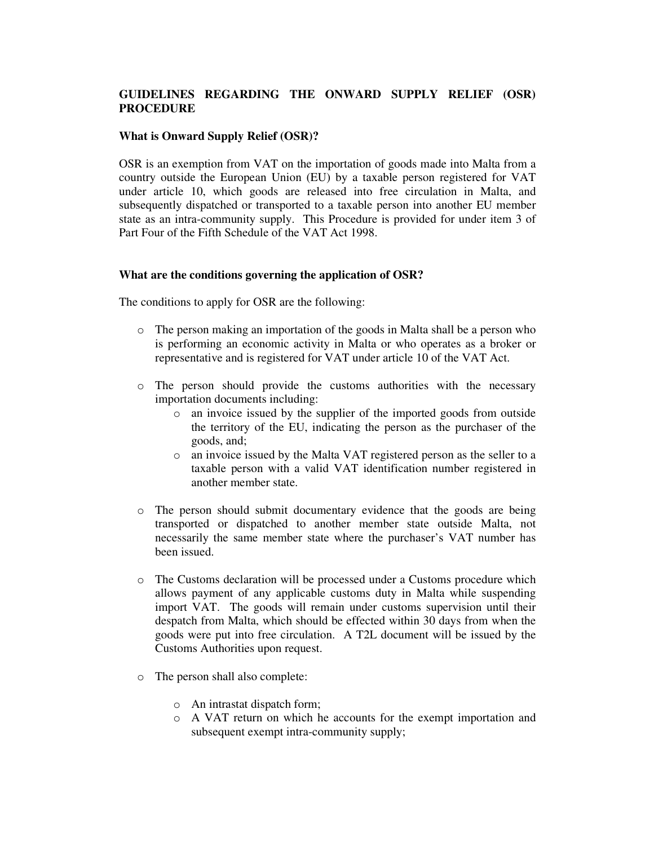# **GUIDELINES REGARDING THE ONWARD SUPPLY RELIEF (OSR) PROCEDURE**

## **What is Onward Supply Relief (OSR)?**

OSR is an exemption from VAT on the importation of goods made into Malta from a country outside the European Union (EU) by a taxable person registered for VAT under article 10, which goods are released into free circulation in Malta, and subsequently dispatched or transported to a taxable person into another EU member state as an intra-community supply. This Procedure is provided for under item 3 of Part Four of the Fifth Schedule of the VAT Act 1998.

#### **What are the conditions governing the application of OSR?**

The conditions to apply for OSR are the following:

- o The person making an importation of the goods in Malta shall be a person who is performing an economic activity in Malta or who operates as a broker or representative and is registered for VAT under article 10 of the VAT Act.
- o The person should provide the customs authorities with the necessary importation documents including:
	- o an invoice issued by the supplier of the imported goods from outside the territory of the EU, indicating the person as the purchaser of the goods, and;
	- o an invoice issued by the Malta VAT registered person as the seller to a taxable person with a valid VAT identification number registered in another member state.
- o The person should submit documentary evidence that the goods are being transported or dispatched to another member state outside Malta, not necessarily the same member state where the purchaser's VAT number has been issued.
- o The Customs declaration will be processed under a Customs procedure which allows payment of any applicable customs duty in Malta while suspending import VAT. The goods will remain under customs supervision until their despatch from Malta, which should be effected within 30 days from when the goods were put into free circulation. A T2L document will be issued by the Customs Authorities upon request.
- o The person shall also complete:
	- o An intrastat dispatch form;
	- o A VAT return on which he accounts for the exempt importation and subsequent exempt intra-community supply;